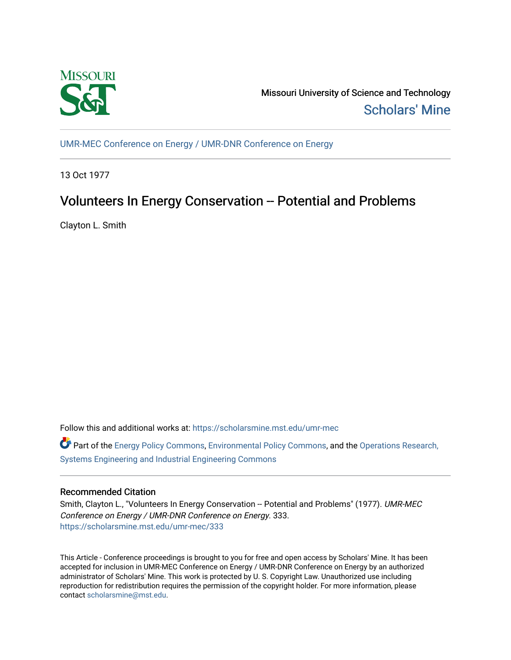

Missouri University of Science and Technology [Scholars' Mine](https://scholarsmine.mst.edu/) 

[UMR-MEC Conference on Energy / UMR-DNR Conference on Energy](https://scholarsmine.mst.edu/umr-mec)

13 Oct 1977

# Volunteers In Energy Conservation -- Potential and Problems

Clayton L. Smith

Follow this and additional works at: [https://scholarsmine.mst.edu/umr-mec](https://scholarsmine.mst.edu/umr-mec?utm_source=scholarsmine.mst.edu%2Fumr-mec%2F333&utm_medium=PDF&utm_campaign=PDFCoverPages) 

Part of the [Energy Policy Commons](http://network.bepress.com/hgg/discipline/1065?utm_source=scholarsmine.mst.edu%2Fumr-mec%2F333&utm_medium=PDF&utm_campaign=PDFCoverPages), [Environmental Policy Commons](http://network.bepress.com/hgg/discipline/1027?utm_source=scholarsmine.mst.edu%2Fumr-mec%2F333&utm_medium=PDF&utm_campaign=PDFCoverPages), and the [Operations Research,](http://network.bepress.com/hgg/discipline/305?utm_source=scholarsmine.mst.edu%2Fumr-mec%2F333&utm_medium=PDF&utm_campaign=PDFCoverPages)  [Systems Engineering and Industrial Engineering Commons](http://network.bepress.com/hgg/discipline/305?utm_source=scholarsmine.mst.edu%2Fumr-mec%2F333&utm_medium=PDF&utm_campaign=PDFCoverPages)

## Recommended Citation

Smith, Clayton L., "Volunteers In Energy Conservation -- Potential and Problems" (1977). UMR-MEC Conference on Energy / UMR-DNR Conference on Energy. 333. [https://scholarsmine.mst.edu/umr-mec/333](https://scholarsmine.mst.edu/umr-mec/333?utm_source=scholarsmine.mst.edu%2Fumr-mec%2F333&utm_medium=PDF&utm_campaign=PDFCoverPages) 

This Article - Conference proceedings is brought to you for free and open access by Scholars' Mine. It has been accepted for inclusion in UMR-MEC Conference on Energy / UMR-DNR Conference on Energy by an authorized administrator of Scholars' Mine. This work is protected by U. S. Copyright Law. Unauthorized use including reproduction for redistribution requires the permission of the copyright holder. For more information, please contact [scholarsmine@mst.edu](mailto:scholarsmine@mst.edu).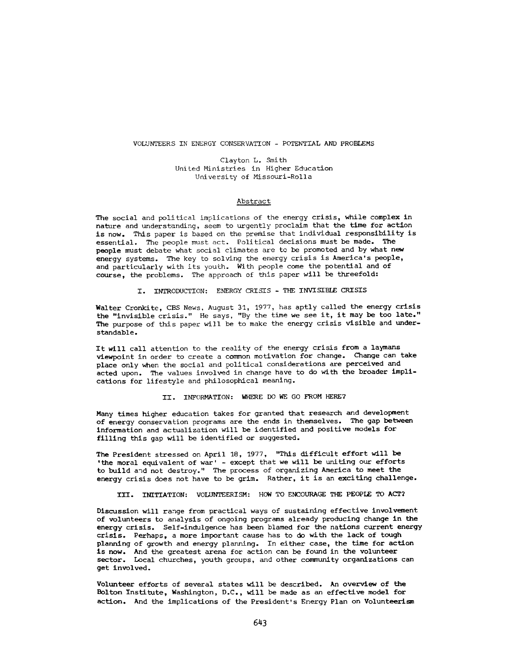#### **VOLUNTEERS IN ENERGY CONSERVATION - POTENTIAL AND PROBLEMS**

Clayton L. Smith United Ministries in Higher Education University of Missouri-Rolla

#### Abstract

The social and political implications of the energy crisis, while complex in nature and understanding, seem to urgently proclaim that the time for action is now. This paper is based on the premise that individual responsibility is essential. The people must act. Political decisions must be made. The people must debate what social climates are to be promoted and by what new energy systems. The key to solving the energy crisis is America's people, and particularly with its youth. With people come the potential and of course, the problems. The approach of this paper will be threefold:

I. INTRODUCTION: ENERGY CRISIS - THE INVISIBLE CRISIS

Walter Cronkite, CBS News, August 31, 1977, has aptly called the energy crisis the "invisible crisis." He says, "By the time we see it, it may be too late." The purpose of this paper will be to make the energy crisis visible and understandable.

It will call attention to the reality of the energy crisis from a laymans viewpoint in order to create a common motivation for change. Change can take place only when the social and political considerations are perceived and acted upon. The values involved in change have to do with the broader implications for lifestyle and philosophical meaning.

### II. INFORMATION: WHERE DO WE GO FROM HERE?

Many times higher education takes for granted that research and development of energy conservation programs are the ends in themselves. The gap between information and actualization will be identified and positive models for filling this gap will be identified or suggested.

The President stressed on April 18, 1977, "This difficult effort will be 'the moral equivalent of war' - except that we will be uniting our efforts to build and not destroy." The process of organizing America to meet the energy crisis does not have to be grim. Rather, it is an exciting challenge.

III. INITIATION: VOLUNTEERISM: HOW TO ENCOURAGE THE PEOPLE TO ACT?

Discussion will range from practical ways of sustaining effective involvement of volunteers to analysis of ongoing programs already producing change in the energy crisis. Self-indulgence has been blamed for the nations current energy crisis. Perhaps, a more important cause has to do with the lack of tough planning of growth and energy planning. In either case, the time for action is now. And the greatest arena for action can be found in the volunteer sector. Local churches, youth groups, and other community organizations can get involved.

Volunteer efforts of several states will be described. An overview of the Bolton Institute, Washington, D.C., will be made as an effective model for action. And the implications of the President's Energy Plan on Volunteerism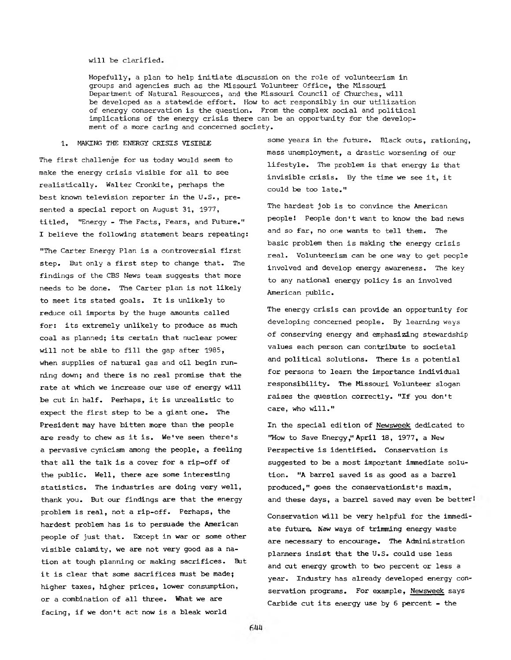#### will be clarified

Hopefully, a plan to help initiate discussion on the role of volunteerism in groups and agencies such as the Missouri Volunteer Office, the Missouri Department of Natural Resources, and the Missouri Council of Churches, will be developed as a statewide effort. How to act responsibly in our utilization of energy conservation is the question. From the complex social and political implications of the energy crisis there can be an opportunity for the development of a more caring and concerned society.

#### 1. MAKING THE ENERGY CRISIS VISIBLE

The first challenge for us today would seem to make the energy crisis visible for all to see realistically. Walter Cronkite, perhaps the best known television reporter in the U.S., presented a special report on August 31, 1977, titled, "Energy - The Facts, Fears, and Future." I believe the following statement bears repeating: "The Carter Energy Plan is a controversial first step. But only a first step to change that. The findings of the CBS News team suggests that more needs to be done. The Carter plan is not likely to meet its stated goals. It is unlikely to reduce oil imports by the huge amounts called for: its extremely unlikely to produce as much coal as planned; its certain that nuclear power will not be able to fill the gap after 1985, when supplies of natural gas and oil begin running down; and there is no real promise that the rate at which we increase our use of energy will be cut in half. Perhaps, it is unrealistic to expect the first step to be a giant one. The President may have bitten more than the people are ready to chew as it is. We've seen there's

a pervasive cynicism among the people, a feeling that all the talk is a cover for a rip-off of the public. Well, there are some interesting statistics. The industries are doing very well, thank you. But our findings are that the energy problem is real, not a rip-off. Perhaps, the hardest problem has is to persuade the American people of just that. Except in war or some other visible calamity, we are not very good as a nation at tough planning or making sacrifices. But it is clear that some sacrifices must be made; higher taxes, higher prices, lower consumption, or a combination of all three. What we are facing, if we don't act now is a bleak world

some years in the future. Black outs, rationing, mass unemployment, a drastic worsening of our lifestyle. The problem is that energy is that invisible crisis. By the time we see it, it could be too late."

The hardest job is to convince the American people! People don't want to know the bad news and so far, no one wants to tell them. The basic problem then is making the energy crisis real. Volunteerism can be one way to get people involved and develop energy awareness. The key to any national energy policy is an involved American public.

The energy crisis can provide an opportunity for developing concerned people. By learning ways of conserving energy and emphasizing stewardship values each person can contribute to societal and political solutions. There is a potential for persons to learn the importance individual responsibility. The Missouri Volunteer slogan raises the question correctly. "If you don't care, who will."

In the special edition of Newsweek dedicated to "How to Save Energy," April 18, 1977, a New Perspective is identified. Conservation is suggested to be a most important immediate solution. "A barrel saved is as good as a barrel produced," goes the conservationist's maxim, and these days, a barrel saved may even be better! Conservation will be very helpful for the immediate future. New ways of trimming energy waste are necessary to encourage. The Administration planners insist that the U.S. could use less and cut energy growth to two percent or less a year. Industry has already developed energy conservation programs. For example, Newsweek says Carbide cut its energy use by  $6$  percent  $-$  the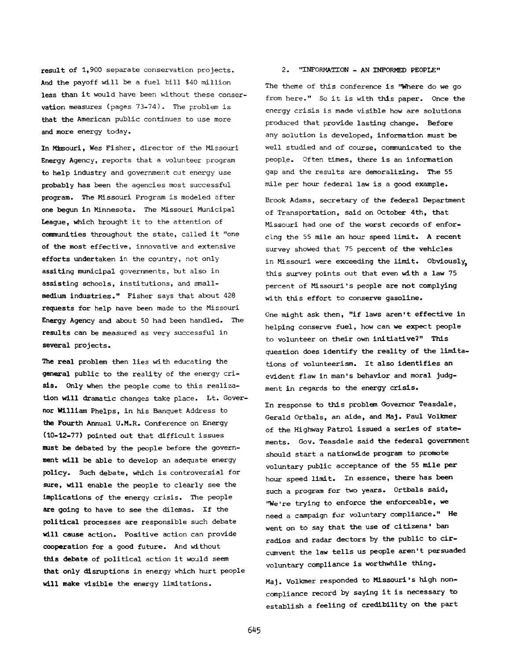result of 1,900 separate conservation projects. 2. "INFORMATION - AN INFORMED PEOPLE" And the payoff will be a fuel bill \$40 million less than it would have been without these conservation measures (pages 73-74). The problem is that the American public continues to use more and more energy today.

In Missouri, Wes Fisher, director of the Missouri Energy Agency, reports that a volunteer program to help industry and government cut energy use probably has been the agencies most successful program. The Missouri Program is modeled after one begun in Minnesota. The Missouri Municipal League, which brought it to the attention of communities throughout the state, called it "one of the most effective, innovative and extensive efforts undertaken in the country, not only assiting municipal governments, but also in assisting schools, institutions, and smallmedium industries." Fisher says that about 428 requests for help have been made to the Missouri Energy Agency and about 50 had been handled. The results can be measured as very successful in several projects.

The real problem then lies with educating the general public to the reality of the energy crisis. Only when the people come to this realization will dramatic changes take place. Lt. Governor William Phelps, in his Banquet Address to the Fourth Annual U.M.R. Conference on Energy (10-12-77) pointed out that difficult issues must be debated by the people before the government will be able to develop an adequate energy policy. Such debate, which is controversial for sure, will enable the people to clearly see the implications of the energy crisis. The people are going to have to see the dilemas. If the political processes are responsible such debate will cause action. Positive action can provide cooperation for a good future. And without this debate of political action it would seem that only disruptions in energy which hurt people will make visible the energy limitations.

#### **<sup>2</sup>**.

The theme of this conference is "Where do we go from here." So it is with this paper. Once the energy crisis is made visible how are solutions produced that provide lasting change. Before any solution is developed, information must be well studied and of course, communicated to the people. Often times, there is an information gap and the results are demoralizing. The 55 mile per hour federal law is a good example.

Brook Adams, secretary of the federal Department of Transportation, said on October 4th, that Missouri had one of the worst records of enforcing the 55 mile an hour speed limit. A recent survey showed that 75 percent of the vehicles in Missouri were exceeding the limit. Obviously. this survey points out that even with a law 75 percent of Missouri's people are not complying with this effort to conserve gasoline.

One might ask then, "if laws aren't effective in helping conserve fuel, how can we expect people to volunteer on their own initiative?" This question does identify the reality of the limitations of volunteerism. It also identifies an evident flaw in man's behavior and moral judgment in regards to the energy crisis.

In response to this problem Governor Teasdale, Gerald Ortbals, an aide, and Maj. Paul Volkmer of the Highway Patrol issued a series of statements. Gov. Teasdale said the federal government should start a nationwide program to promote voluntary public acceptance of the 55 mile per hour speed limit. In essence, there has been such a program for two years. Ortbals said, "We're trying to enforce the enforceable, we need a campaign for voluntary compliance." He went on to say that the use of citizens' ban radios and radar dectors by the public to circumvent the law tells us people aren't persuaded voluntary compliance is worthwhile thing.

Maj. Volkmer responded to Missouri's high noncompliance record by saying it is necessary to establish a feeling of credibility on the part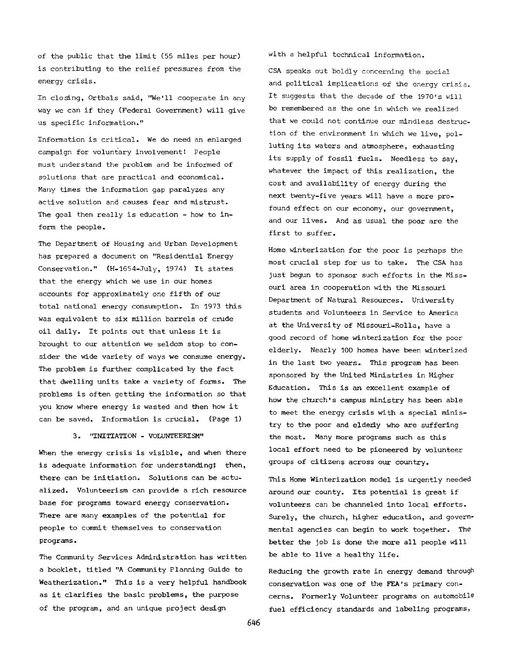of the public that the limit (55 miles per hour) is contributing to the relief pressures from the energy crisis.

In closing, Ortbals said, "We'll cooperate in any way we can if they (Federal Government) will give us specific information."

Information is critical. We do need an enlarged campaign for voluntary involvement! People must understand the problem and be informed of solutions that are practical and economical. Many times the information gap paralyzes any active solution and causes fear and mistrust. The goal then really is education - how to inform the people.

The Department of Housing and Urban Development has prepared a document on "Residential Energy Conservation." (H-1654-July, 1974) It states that the energy which we use in our homes accounts for approximately one fifth of our total national energy consumption. In 1973 this was equivalent to six million barrels of crude oil daily. It points out that unless it is brought to our attention we seldom stop to consider the wide variety of ways we consume energy. The problem is further complicated by the fact that dwelling units take a variety of forms. The problems is often getting the information so that you know where energy is wasted and then how it can be saved. Information is crucial. (Page 1)

#### 3. "INITIATION - VOLUNTEERISM"

When the energy crisis is visible, and when there is adequate information for understanding; then, there can be initiation. Solutions can be actualized. Volunteerism can provide a rich resource base for programs toward energy conservation. There are many examples of the potential for people to commit themselves to conservation programs.

The Community Services Administration has written a booklet, titled "A Community Planning Guide to Weatherization." This is a very helpful handbook as it clarifies the basic problems, the purpose of the program, and an unique project design

with a helpful technical information.

CSA speaks out boldly concerning the social and political implications of the energy crisis. It suggests that the decade of the 1970's will be remembered as the one in which we realized that we could not continue our mindless destruction of the environment in which we live, polluting its waters and atmosphere, exhausting its supply of fossil fuels. Needless to say, whatever the impact of this realization, the cost and availability of energy during the next twenty-five years will have a more profound effect on our economy, our government, and our lives. And as usual the poor are the first to suffer.

Home winterization for the poor is perhaps the most crucial step for us to take. The CSA has just begun to sponsor such efforts in the Missouri area in cooperation with the Missouri Department of Natural Resources. University students and Volunteers in Service to America at the University of Missouri-Rolla, have a good record of home winterization for the poor elderly. Nearly 100 homes have been winterized in the last two years. This program has been sponsored by the United Ministries in Higher Education. This is an excellent example of how the church's campus ministry has been able to meet the energy crisis with a special ministry to the poor and elderly who are suffering the most. Many more programs such as this local effort need to be pioneered by volunteer groups of citizens across our country.

This Home Winterization model is urgently needed around our county. Its potential is great if volunteers can be channeled into local efforts. Surely, the church, higher education, and governmental agencies can begin to work together. The better the job is done the more all people will be able to live a healthy life.

Reducing the growth rate in energy demand through conservation was one of the FEA's primary concerns. Formerly Volunteer programs on automobile fuel efficiency standards and labeling programs,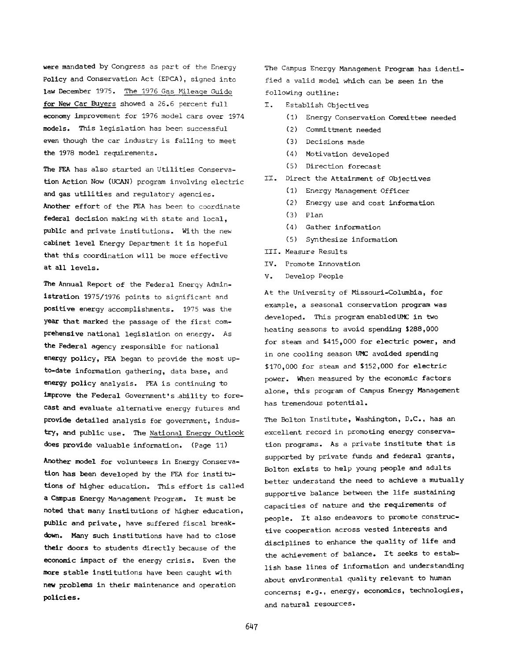were mandated by Congress as part of the Energy Policy and Conservation Act (EPCA), signed into law December 1975. The 1976 Gas Mileage Guide for New Car Buyers showed a 26.6 percent full economy improvement for 1976 model cars over 1974 models. This legislation has been successful even though the car industry is failing to meet the 1978 model requirements.

The FEA has also started an Utilities Conservation Action Now (UCAN) program involving electric and gas utilities and regulatory agencies. Another effort of the FEA has been to coordinate federal decision making with state and local, public and private institutions. With the new cabinet level Energy Department it is hopeful that this coordination will be more effective at all levels.

The Annual Report of the Federal Energy Administration 1975/1976 points to significant and positive energy accomplishments. 1975 was the **year** that marked the passage of the first comprehensive national legislation on energy. As the Federal agency responsible for national energy policy, FEA began to provide the most upto-date information gathering, data base, and energy policy analysis. FEA is continuing to improve the Federal Government's .ability to fore**cast and** evaluate alternative energy futures and **provide** detailed analysis for government, industry, **and** public use. The National Energy Outlook does provide valuable information. (Page 11)

**Another model** for volunteers in Energy Conserva**tion has been** developed by the FEA for institu**tions of** higher education. This effort is called **a Campus** Energy Management Program. It must be **noted** that many institutions of higher education, **public** and private, have suffered fiscal break**down.** Many **such** institutions have had to close **their doors** to students directly because of the **economic** impact of the energy crisis. Even the **more stable** institutions have been caught with **new problems** in their maintenance and operation **policies.**

The Campus Energy Management Program has identified a valid model which can be seen in the following outline:

- I. Establish Objectives
	- (1) Energy Conservation Committee needed
	- (2) Committment needed
	- (3) Decisions made
	- (4) Motivation developed
	- (5) Direction forecast
- II. Direct the Attainment of Objectives
	- (1) Energy Management Officer
	- (2) Energy use and cost information
	- (3) Plan
	- (4) Gather information
	- (5) Synthesize information

III. Measure Results

- IV. Promote Innovation
- V. Develop People

At the University of Missouri-Columbia, for example, a seasonal conservation program was developed. This program enabledUMC in two heating seasons to avoid spending \$288,000 for steam and \$415,000 for electric power, and in one cooling season UMC avoided spending \$170,000 for steam and \$152,000 for electric power. When measured by the economic factors alone, this program of Campus Energy Management has tremendous potential.

The Bolton Institute, Washington, D.C., has an excellent record in promoting energy conservation programs. As a private institute that is supported by private funds and federal grants, Bolton exists to help young people and adults better understand the need to achieve a mutually supportive balance between the life sustaining capacities of nature and the requirements of people. It also endeavors to promote constructive cooperation across vested interests and disciplines to enhance the quality of life and the achievement of balance. It seeks to establish base lines of information and understanding about environmental quality relevant to human concerns; e.g., energy, economics, technologies, and natural resources.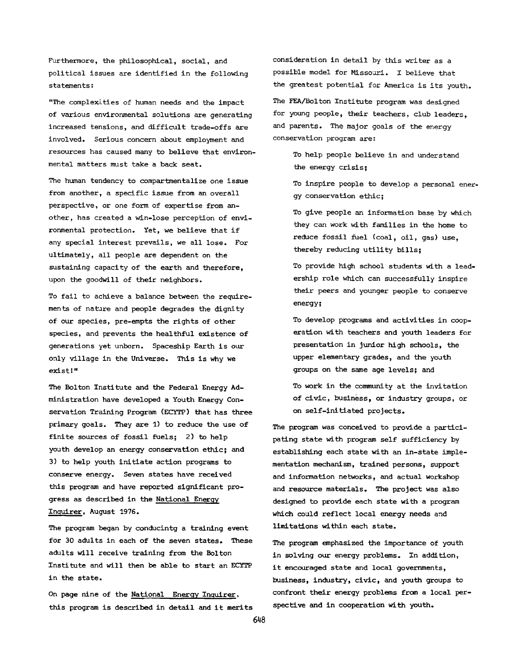**Furthermore, the philosophical, social, and political issues are identified in the following statements:**

**"The complexities of human needs and the impact of various environmental solutions are generating increased tensions, and difficult trade-offs are involved. Serious concern about employment and resources has caused many to believe that environmental matters must take a back seat.**

**The human tendency to compartmentalize one issue from another, a specific issue from an overall perspective, or one form of expertise from another, has created a win-lose perception of environmental protection. Yet, we believe that if any special interest prevails, we all lose. For ultimately, all people are dependent on the sustaining capacity of the earth and therefore, upon the goodwill of their neighbors.**

**To fail to achieve a balance between the requirements of nature and people degrades the dignity of our species, pre-empts the rights of other species, and prevents the healthful existence of generations yet unborn. Spaceship Earth is our only village in the Universe. This is why we exist!"**

**The Bolton Institute and the Federal Energy Administration have developed a Youth Energy Conservation Training Program (ECYTP) that has three primary goals. They are 1) to reduce the use of finite sources of fossil fuels; 2) to help youth develop an energy conservation ethic; and 3) to help youth initiate action programs to conserve energy. Seven states have received this program and have reported significant progress as described in the National Energy Inquirer, August 1976.**

**The program began by conducintg a training event for 30 adults in each of the seven states. These adults will receive training from the Bolton Institute and will then be able to start an ECYTP in the state.**

**On page nine of the National Energy Inquirer, this program is described in detail and it merits** **consideration in detail by this writer as a possible model for Missouri. I believe that the greatest potential for America is its youth.**

**The FEA/Bolton Institute program was designed for young people, their teachers, club leaders, and parents. The major goals of the energy conservation program are:**

**To help people believe in and understand the energy crisis;**

**To inspire people to develop a personal energy conservation ethic;**

**To give people an information base by which they can work with families in the home to reduce fossil fuel (coal, oil, gas) use, thereby reducing utility bills;**

**To provide high school students with a leadership role which can successfully inspire their peers and younger people to conserve energy;**

**To develop programs and activities in cooperation with teachers and youth leaders for presentation in junior high schools, the upper elementary grades, and the youth groups on the same age levels; and**

**To work in the community at the invitation of civic, business, or industry groups, or on self-initiated projects.**

**The program was conceived to provide a participating state with program self sufficiency by establishing each state with an in-state implementation mechanism, trained persons, support and information networks, and actual workshop and resource materials. The project was also designed to provide each state with a program which could reflect local energy needs and limitations within each state.**

**The program emphasized the importance of youth in solving our energy problems. In addition, it encouraged state and local governments, business, industry, civic, and youth groups to confront their energy problems from a local perspective and in cooperation with youth.**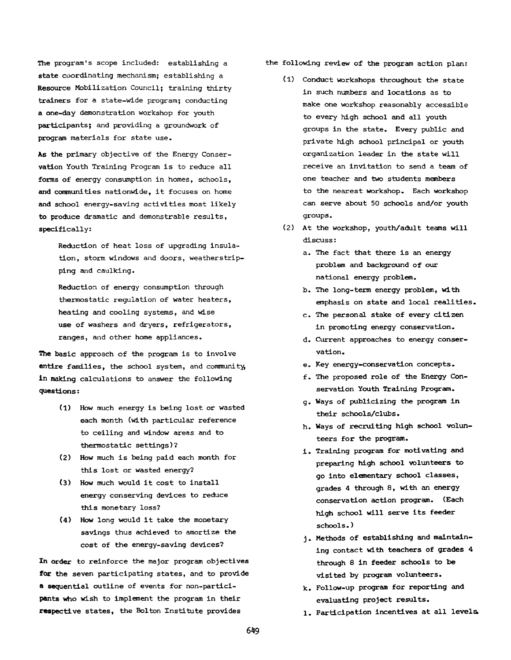**The program's scope included: establishing a state coordinating mechanism; establishing a Resource Mobilization Council; training thirty trainers for a state-wide program; conducting a one-day demonstration workshop for youth participants; and providing a groundwork of program materials for state use.**

**As the primary objective of the Energy Conservation Youth Training Program is to reduce all forms of energy consumption in homes, schools, and communities nationwide, it focuses on home and school energy-saving activities most likely to produce dramatic and demonstrable results, specifically:**

**Reduction of heat loss of upgrading insulation, storm windows and doors, weatherstripping and caulking.**

**Reduction of energy consumption through thermostatic regulation of water heaters, heating and cooling systems, and wise use of washers and dryers, refrigerators, ranges, and other home appliances.**

**The basic approach of the program is to involve entire families, the school system, and community, in making calculations to answer the following questions:**

- **(1) How much energy is being lost or wasted each month (with particular reference to ceiling and window areas and to thermostatic settings)?**
- **(2) How much is being paid each month for this lost or wasted energy?**
- **(3) How much would it cost to install energy conserving devices to reduce this monetary loss?**
- **(4) How long would it take the monetary savings thus achieved to amortize the cost of the energy-saving devices?**

**In order to reinforce the major program objectives for the seven participating states, and to provide a sequential outline of events for non-participants who wish to implement the program in their respective states, the Bolton Institute provides**

- **the following review of the program action plan:**
	- **(1) Conduct workshops throughout the state in such numbers and locations as to make one workshop reasonably accessible to every high school and all youth groups in the state. Every public and private high school principal or youth organization leader in the state will receive an invitation to send a team of one teacher and two students members to the nearest workshop. Each workshop can serve about 50 schools and/or youth groups.**
	- **(2) At the workshop, youth/adult teams will discuss:**
		- **a. The fact that there is an energy problem and background of our national energy problem.**
		- **b. The long-term energy problem, with emphasis on state and local realities.**
		- **c. The personal stake of every citizen in promoting energy conservation.**
		- **d. Current approaches to energy conservation.**
		- **e. Key energy-conservation concepts.**
		- **f. The proposed role of the Energy Conservation Youth Training Program.**
		- **g. Ways of publicizing the program in their schools/clubs.**
		- **h. Ways of recruiting high school volunteers for the program.**
		- **i. Training program for motivating and preparing high school volunteers to go into elementary school classes, grades 4 through 8, with an energy conservation action program. (Each high school will serve its feeder schools.)**
		- **j. Methods of establishing and maintaining contact with teachers of grades 4 through 8 in feeder schools to be visited by program volunteers.**
		- **k. Follow-up program for reporting and evaluating project results.**
		- **l. Participation incentives at all levels;**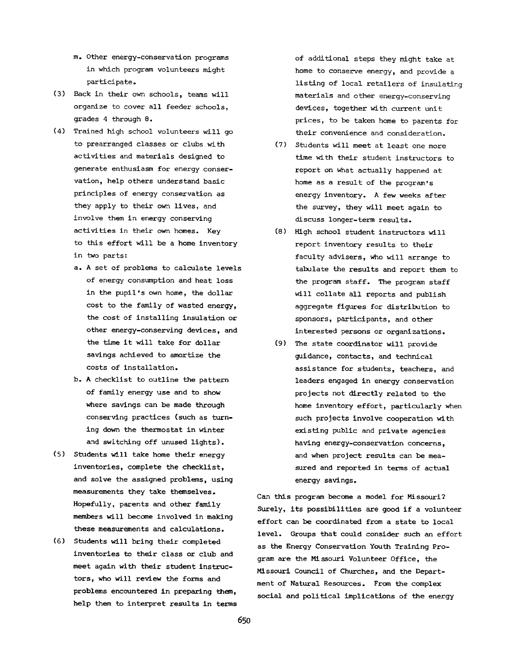- **m. Other energy-conservation programs in which program volunteers might participate.**
- **(3) Back in their own schools, teams will organize to cover all feeder schools, grades 4 through 8.**
- **(4) Trained high school volunteers will go to prearranged classes or clubs with activities and materials designed to generate enthusiasm for energy conservation, help others understand basic principles of energy conservation as they apply to their own lives, and involve them in energy conserving activities in their own homes. Key to this effort will be a home inventory in two parts:**
	- **a. A set of problems to calculate levels of energy consumption and heat loss in the pupil's own home, the dollar cost to the family of wasted energy, the cost of installing insulation or other energy-conserving devices, and the time it will take for dollar savings achieved to amortize the costs of installation.**
	- **b. A checklist to outline the pattern of family energy use and to show where savings can be made through conserving practices (such as turning down the thermostat in winter and switching off unused lights).**
- **(5) Students will take home their energy inventories, complete the checklist, and solve the assigned problems, using measurements they take themselves. Hopefully, parents and other family members will become involved in making these measurements and calculations.**
- **(6) Students will bring their completed inventories to their class or club and meet again with their student instructors, who will review the forms and problems encountered in preparing them, help them to interpret results in terms**

**of additional steps they might take at home to conserve energy, and provide a listing of local retailers of insulating materials and other energy-conserving devices, together with current unit prices, to be taken home to parents for their convenience and consideration.**

- **(7) Students will meet at least one more time with their student instructors to report on what actually happened at home as a result of the program's energy inventory. A few weeks after the survey, they will meet again to discuss longer-term results.**
- **(8) High school student instructors will report inventory results to their faculty advisers, who will arrange to tabulate the results and report them to the program staff. The program staff will collate all reports and publish aggregate figures for distribution to sponsors, participants, and other interested persons or organizations.**
- **(9) The state coordinator will provide guidance, contacts, and technical assistance for students, teachers, and leaders engaged in energy conservation projects not directly related to the home inventory effort, particularly when such projects involve cooperation with existing public and private agencies having energy-conservation concerns, and when project results can be measured and reported in terms of actual energy savings.**

**Can this program become a model for Missouri? Surely, its possibilities are good if a volunteer effort can be coordinated from a state to local level. Groups that could consider such an effort as the Energy Conservation Youth Training Program are the Missouri Volunteer Office, the Missouri Council of Churches, and the Department of Natural Resources. From the complex social and political implications of the energy**